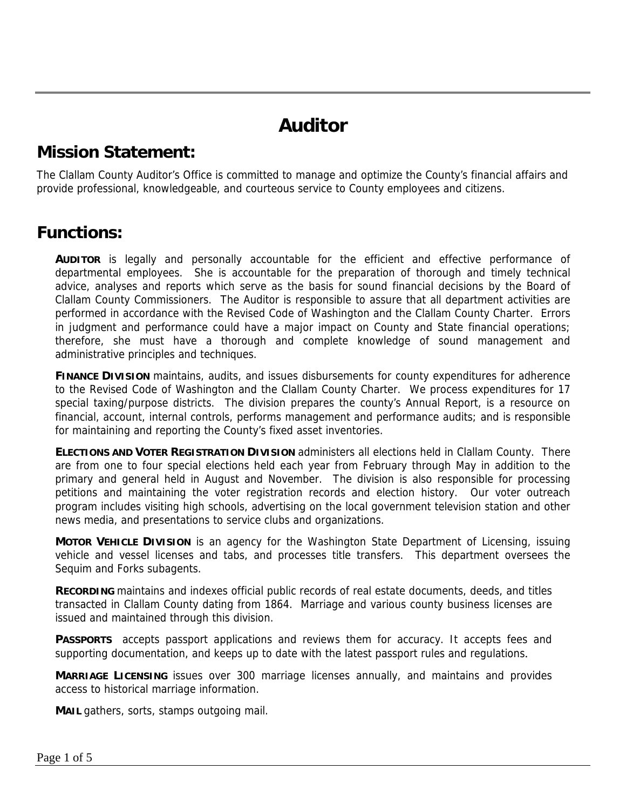# **Auditor**

#### **Mission Statement:**

The Clallam County Auditor's Office is committed to manage and optimize the County's financial affairs and provide professional, knowledgeable, and courteous service to County employees and citizens.

#### **Functions:**

**AUDITOR** is legally and personally accountable for the efficient and effective performance of departmental employees. She is accountable for the preparation of thorough and timely technical advice, analyses and reports which serve as the basis for sound financial decisions by the Board of Clallam County Commissioners. The Auditor is responsible to assure that all department activities are performed in accordance with the Revised Code of Washington and the Clallam County Charter. Errors in judgment and performance could have a major impact on County and State financial operations; therefore, she must have a thorough and complete knowledge of sound management and administrative principles and techniques.

**FINANCE DIVISION** maintains, audits, and issues disbursements for county expenditures for adherence to the Revised Code of Washington and the Clallam County Charter. We process expenditures for 17 special taxing/purpose districts. The division prepares the county's Annual Report, is a resource on financial, account, internal controls, performs management and performance audits; and is responsible for maintaining and reporting the County's fixed asset inventories.

**ELECTIONS AND VOTER REGISTRATION DIVISION** administers all elections held in Clallam County. There are from one to four special elections held each year from February through May in addition to the primary and general held in August and November. The division is also responsible for processing petitions and maintaining the voter registration records and election history. Our voter outreach program includes visiting high schools, advertising on the local government television station and other news media, and presentations to service clubs and organizations.

**MOTOR VEHICLE DIVISION** is an agency for the Washington State Department of Licensing, issuing vehicle and vessel licenses and tabs, and processes title transfers. This department oversees the Sequim and Forks subagents.

**RECORDING** maintains and indexes official public records of real estate documents, deeds, and titles transacted in Clallam County dating from 1864. Marriage and various county business licenses are issued and maintained through this division.

**PASSPORTS** accepts passport applications and reviews them for accuracy. It accepts fees and supporting documentation, and keeps up to date with the latest passport rules and regulations.

**MARRIAGE LICENSING** issues over 300 marriage licenses annually, and maintains and provides access to historical marriage information.

**MAIL** gathers, sorts, stamps outgoing mail.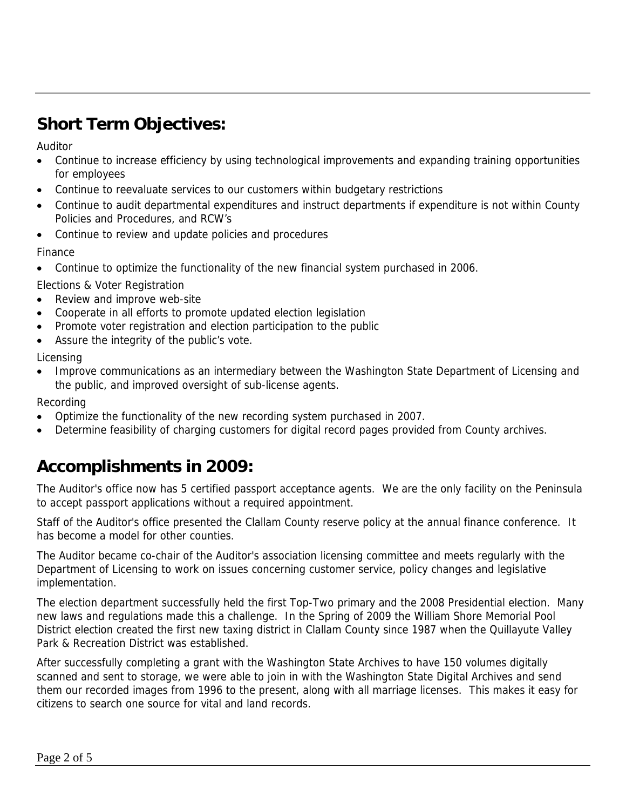## **Short Term Objectives:**

Auditor

- Continue to increase efficiency by using technological improvements and expanding training opportunities for employees
- Continue to reevaluate services to our customers within budgetary restrictions
- Continue to audit departmental expenditures and instruct departments if expenditure is not within County Policies and Procedures, and RCW's
- Continue to review and update policies and procedures

Finance

• Continue to optimize the functionality of the new financial system purchased in 2006.

Elections & Voter Registration

- Review and improve web-site
- Cooperate in all efforts to promote updated election legislation
- Promote voter registration and election participation to the public
- Assure the integrity of the public's vote.

Licensing

• Improve communications as an intermediary between the Washington State Department of Licensing and the public, and improved oversight of sub-license agents.

Recording

- Optimize the functionality of the new recording system purchased in 2007.
- Determine feasibility of charging customers for digital record pages provided from County archives.

### **Accomplishments in 2009:**

The Auditor's office now has 5 certified passport acceptance agents. We are the only facility on the Peninsula to accept passport applications without a required appointment.

Staff of the Auditor's office presented the Clallam County reserve policy at the annual finance conference. It has become a model for other counties.

The Auditor became co-chair of the Auditor's association licensing committee and meets regularly with the Department of Licensing to work on issues concerning customer service, policy changes and legislative implementation.

The election department successfully held the first Top-Two primary and the 2008 Presidential election. Many new laws and regulations made this a challenge. In the Spring of 2009 the William Shore Memorial Pool District election created the first new taxing district in Clallam County since 1987 when the Quillayute Valley Park & Recreation District was established.

After successfully completing a grant with the Washington State Archives to have 150 volumes digitally scanned and sent to storage, we were able to join in with the Washington State Digital Archives and send them our recorded images from 1996 to the present, along with all marriage licenses. This makes it easy for citizens to search one source for vital and land records.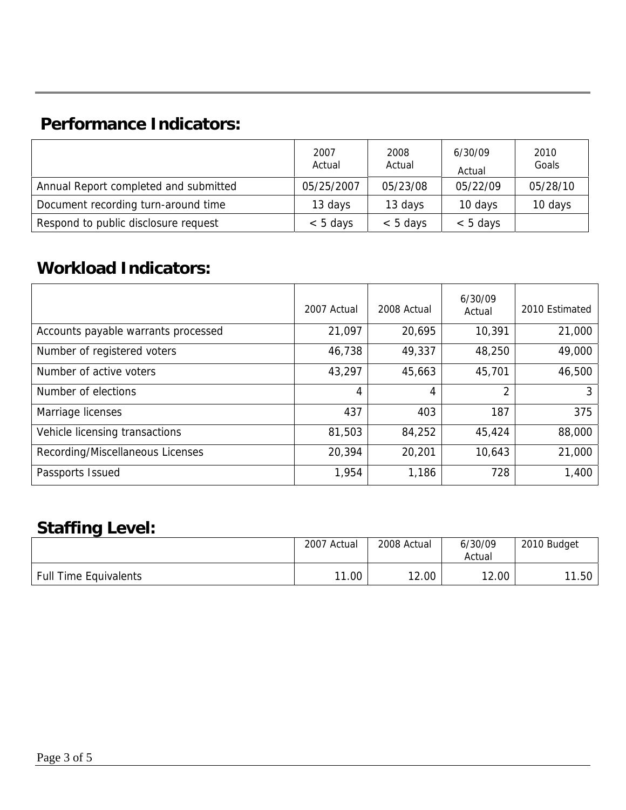## **Performance Indicators:**

|                                       | 2007<br>Actual | 2008<br>Actual | 6/30/09<br>Actual | 2010<br>Goals |
|---------------------------------------|----------------|----------------|-------------------|---------------|
| Annual Report completed and submitted | 05/25/2007     | 05/23/08       | 05/22/09          | 05/28/10      |
| Document recording turn-around time   | 13 days        | 13 days        | 10 days           | 10 days       |
| Respond to public disclosure request  | $< 5$ days     | $< 5$ days     | $< 5$ days        |               |

### **Workload Indicators:**

|                                     | 2007 Actual | 2008 Actual | 6/30/09<br>Actual | 2010 Estimated |
|-------------------------------------|-------------|-------------|-------------------|----------------|
| Accounts payable warrants processed | 21,097      | 20,695      | 10,391            | 21,000         |
| Number of registered voters         | 46,738      | 49,337      | 48,250            | 49,000         |
| Number of active voters             | 43,297      | 45,663      | 45,701            | 46,500         |
| Number of elections                 | 4           | 4           | 2                 | 3              |
| Marriage licenses                   | 437         | 403         | 187               | 375            |
| Vehicle licensing transactions      | 81,503      | 84,252      | 45,424            | 88,000         |
| Recording/Miscellaneous Licenses    | 20,394      | 20,201      | 10,643            | 21,000         |
| Passports Issued                    | 1,954       | 1,186       | 728               | 1,400          |

#### **Staffing Level:**

|                              | 2007 Actual | 2008 Actual | 6/30/09<br>Actual | 2010 Budget |
|------------------------------|-------------|-------------|-------------------|-------------|
| <b>Full Time Equivalents</b> | 11.00       | 2.00<br>າາ  | 12.00             | 11.50       |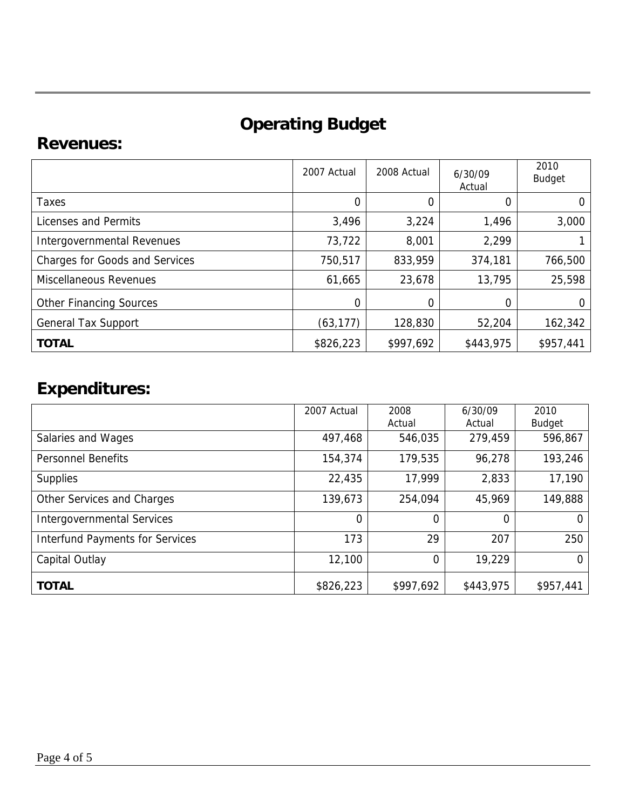# **Operating Budget**

#### **Revenues:**

|                                       | 2007 Actual | 2008 Actual | 6/30/09<br>Actual | 2010<br><b>Budget</b> |
|---------------------------------------|-------------|-------------|-------------------|-----------------------|
| Taxes                                 | $\Omega$    | 0           | 0                 | 0                     |
| Licenses and Permits                  | 3,496       | 3,224       | 1,496             | 3,000                 |
| Intergovernmental Revenues            | 73,722      | 8,001       | 2,299             |                       |
| <b>Charges for Goods and Services</b> | 750,517     | 833,959     | 374,181           | 766,500               |
| <b>Miscellaneous Revenues</b>         | 61,665      | 23,678      | 13,795            | 25,598                |
| <b>Other Financing Sources</b>        | 0           | 0           |                   | 0                     |
| <b>General Tax Support</b>            | (63, 177)   | 128,830     | 52,204            | 162,342               |
| <b>TOTAL</b>                          | \$826,223   | \$997,692   | \$443,975         | \$957,441             |

# **Expenditures:**

|                                        | 2007 Actual | 2008<br>Actual | 6/30/09<br>Actual | 2010<br>Budget |
|----------------------------------------|-------------|----------------|-------------------|----------------|
| Salaries and Wages                     | 497,468     | 546,035        | 279,459           | 596,867        |
| <b>Personnel Benefits</b>              | 154,374     | 179,535        | 96,278            | 193,246        |
| <b>Supplies</b>                        | 22,435      | 17,999         | 2,833             | 17,190         |
| Other Services and Charges             | 139,673     | 254,094        | 45,969            | 149,888        |
| <b>Intergovernmental Services</b>      | $\Omega$    | 0              | 0                 | $\Omega$       |
| <b>Interfund Payments for Services</b> | 173         | 29             | 207               | 250            |
| Capital Outlay                         | 12,100      | 0              | 19,229            | 0              |
| <b>TOTAL</b>                           | \$826,223   | \$997,692      | \$443,975         | \$957,441      |